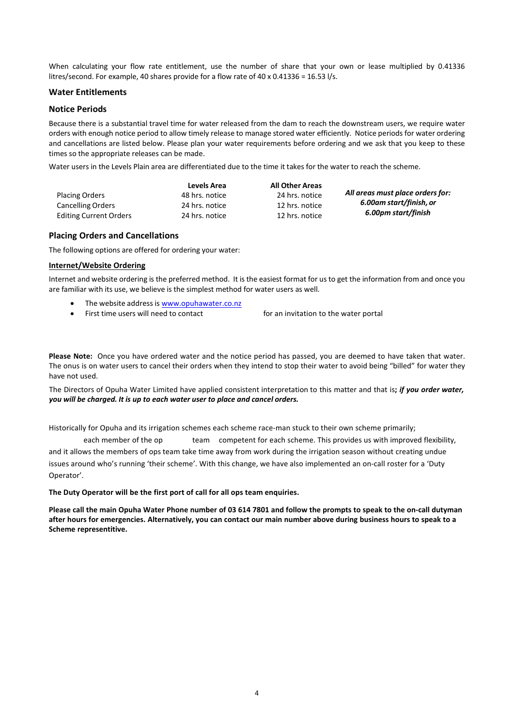When calculating your flow rate entitlement, use the number of share that your own or lease multiplied by 0.41336 litres/second. For example, 40 shares provide for a flow rate of 40 x 0.41336 = 16.53 l/s.

#### **Water Entitlements**

#### **Notice Periods**

Because there is a substantial travel time for water released from the dam to reach the downstream users, we require water orders with enough notice period to allow timely release to manage stored water efficiently. Notice periods for water ordering and cancellations are listed below. Please plan your water requirements before ordering and we ask that you keep to these times so the appropriate releases can be made.

Water users in the Levels Plain area are differentiated due to the time it takes for the water to reach the scheme.

| <b>Placing Orders</b><br><b>Cancelling Orders</b><br><b>Editing Current Orders</b> | Levels Area<br>48 hrs. notice<br>24 hrs. notice<br>24 hrs. notice | <b>All Other Areas</b><br>24 hrs. notice<br>12 hrs. notice<br>12 hrs. notice | All areas must place orders for:<br>6.00am start/finish, or<br>6.00pm start/finish |
|------------------------------------------------------------------------------------|-------------------------------------------------------------------|------------------------------------------------------------------------------|------------------------------------------------------------------------------------|
|                                                                                    |                                                                   |                                                                              |                                                                                    |

#### **Placing Orders and Cancellations**

The following options are offered for ordering your water:

#### **Internet/Website Ordering**

Internet and website ordering is the preferred method. It is the easiest format for us to get the information from and once you are familiar with its use, we believe is the simplest method for water users as well.

- The website address is [www.opuhawater.co.nz](http://www.opuha.water.co.nz/)
- First time users will need to contact the Opuha Office for an invitation to the water portal

If you are having trouble ordering water through the website then please contact the office on 03 614 7801

**Please Note:** Once you have ordered water and the notice period has passed, you are deemed to have taken that water. The onus is on water users to cancel their orders when they intend to stop their water to avoid being "billed" for water they have not used.

The Directors of Opuha Water Limited have applied consistent interpretation to this matter and that is**;** *if you order water, you will be charged. It is up to each water user to place and cancel orders.*

Historically for Opuha and its irrigation schemes each scheme race-man stuck to their own scheme primarily; however we now have each member of the operations team is competent for each scheme. This provides us with improved flexibility, and it allows the members of ops team take time away from work during the irrigation season without creating undue issues around who's running 'their scheme'. With this change, we have also implemented an on-call roster for a 'Duty Operator'.

**The Duty Operator will be the first port of call for all ops team enquiries.** 

**Please call the main Opuha Water Phone number of 03 614 7801 and follow the prompts to speak to the on-call dutyman after hours for emergencies. Alternatively, you can contact our main number above during business hours to speak to a Scheme representitive.**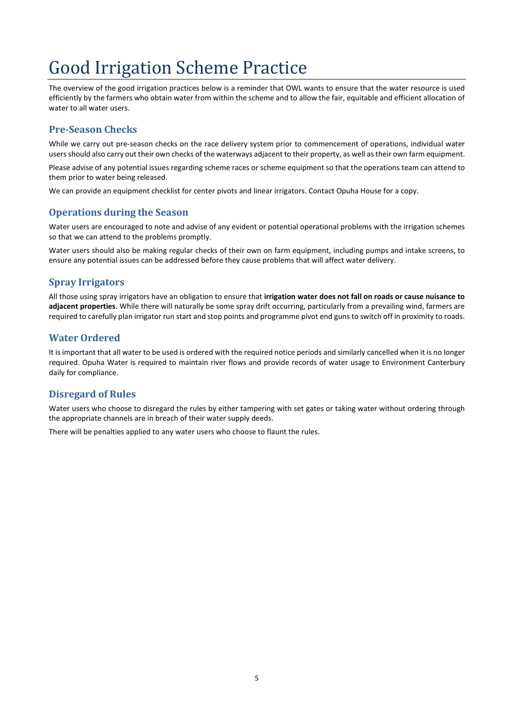# Good Irrigation Scheme Practice

The overview of the good irrigation practices below is a reminder that OWL wants to ensure that the water resource is used efficiently by the farmers who obtain water from within the scheme and to allow the fair, equitable and efficient allocation of water to all water users.

## **Pre-Season Checks**

While we carry out pre-season checks on the race delivery system prior to commencement of operations, individual water users should also carry out their own checks of the waterways adjacent to their property, as well astheir own farm equipment.

Please advise of any potential issues regarding scheme races or scheme equipment so that the operations team can attend to them prior to water being released.

We can provide an equipment checklist for center pivots and linear irrigators. Contact Opuha House for a copy.

### **Operations during the Season**

Water users are encouraged to note and advise of any evident or potential operational problems with the irrigation schemes so that we can attend to the problems promptly.

Water users should also be making regular checks of their own on farm equipment, including pumps and intake screens, to ensure any potential issues can be addressed before they cause problems that will affect water delivery.

# **Spray Irrigators**

All those using spray irrigators have an obligation to ensure that **irrigation water does not fall on roads or cause nuisance to adjacent properties**. While there will naturally be some spray drift occurring, particularly from a prevailing wind, farmers are required to carefully plan irrigator run start and stop points and programme pivot end guns to switch off in proximity to roads.

## **Water Ordered**

It is important that all water to be used is ordered with the required notice periods and similarly cancelled when it is no longer required. Opuha Water is required to maintain river flows and provide records of water usage to Environment Canterbury daily for compliance.

## **Disregard of Rules**

Water users who choose to disregard the rules by either tampering with set gates or taking water without ordering through the appropriate channels are in breach of their water supply deeds.

There will be penalties applied to any water users who choose to flaunt the rules.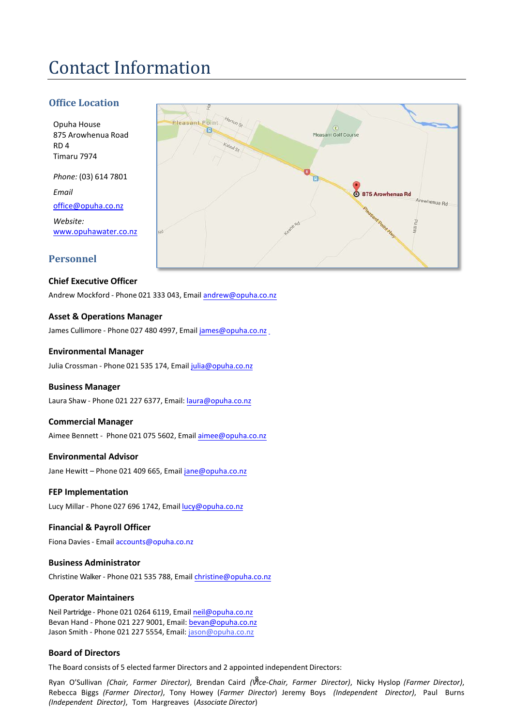# Contact Information

## **Office Location**

Opuha House 875 Arowhenua Road RD 4 Timaru 7974

*Phone:* (03) 614 7801 *Email*  [office@opuha.co.nz](mailto:office@opuha.co.nz)

*Website:*  [www.opuhawater.co.nz](http://www.opuhawater.co.nz/)

### **Personnel**

#### **Chief Executive Officer**

Andrew Mockford - Phone 021 333 043, Email [andrew@opuha.co.nz](mailto:andrew@opuha.co.nz)

#### **Asset & Operations Manager**

James Cullimore - Phone 027 480 4997, Email [james@opuha.co.nz](mailto:james@opuha.co.nz)

#### **Environmental Manager**

Julia Crossman - Phone 021 535 174, Email [julia@opuha.co.nz](mailto:julia@opuha.co.nz)

#### **Business Manager**

Laura Shaw - Phone 021 227 6377, Email: la[ura@opuha.co.nz](mailto:aimee@opuha.co.nz)

#### **Commercial Manager**

Aimee Bennett - Phone 021 075 5602, Email [aimee@opuha.](mailto:jane@opuha.co.nz)co.nz

#### **Environmental Advisor**

Jane Hewitt - Phone 021 409 665, Emai[l jane@opuha.co.nz](mailto:lucy@opuha.co.nz)

#### **FEP Implementation**

Lucy Millar - Phone 02[7 696 1742, Email](mailto:tracey@opuha.co.nz) lucy@opuha.co.nz

#### **Financial & Payroll Officer**

Fiona Davies - Email accounts@opuha.co.n[z](mailto:christine@opuha.co.nz)

#### **Business Administrator**

Christine Walker - Phone 021 535 788, Email c[hristine@opuha.co.n](mailto:chris@opuha.co.nz)z

#### **Operator Maintainers**

Neil Partridge - Phone 021 0264 6119, Email neil@opuha.co.nz Bevan Hand - Phone 021 227 9001, Email: bevan@opuha.co.nz Jason Smith - Phone 021 227 5554, Email: jason@opuha.co.nz

#### **Board of Directors**

The Board consists of 5 elected farmer Directors and 2 appointed independent Directors:

8 Ryan O'Sullivan *(Chair, Farmer Director)*, Brendan Caird *(Vice-Chair, Farmer Director)*, Nicky Hyslop *(Farmer Director)*, Rebecca Biggs *(Farmer Director)*, Tony Howey (*Farmer Director*) Jeremy Boys *(Independent Director)*, Paul Burns *(Independent Director)*, Tom Hargreaves (*Associate Director*)